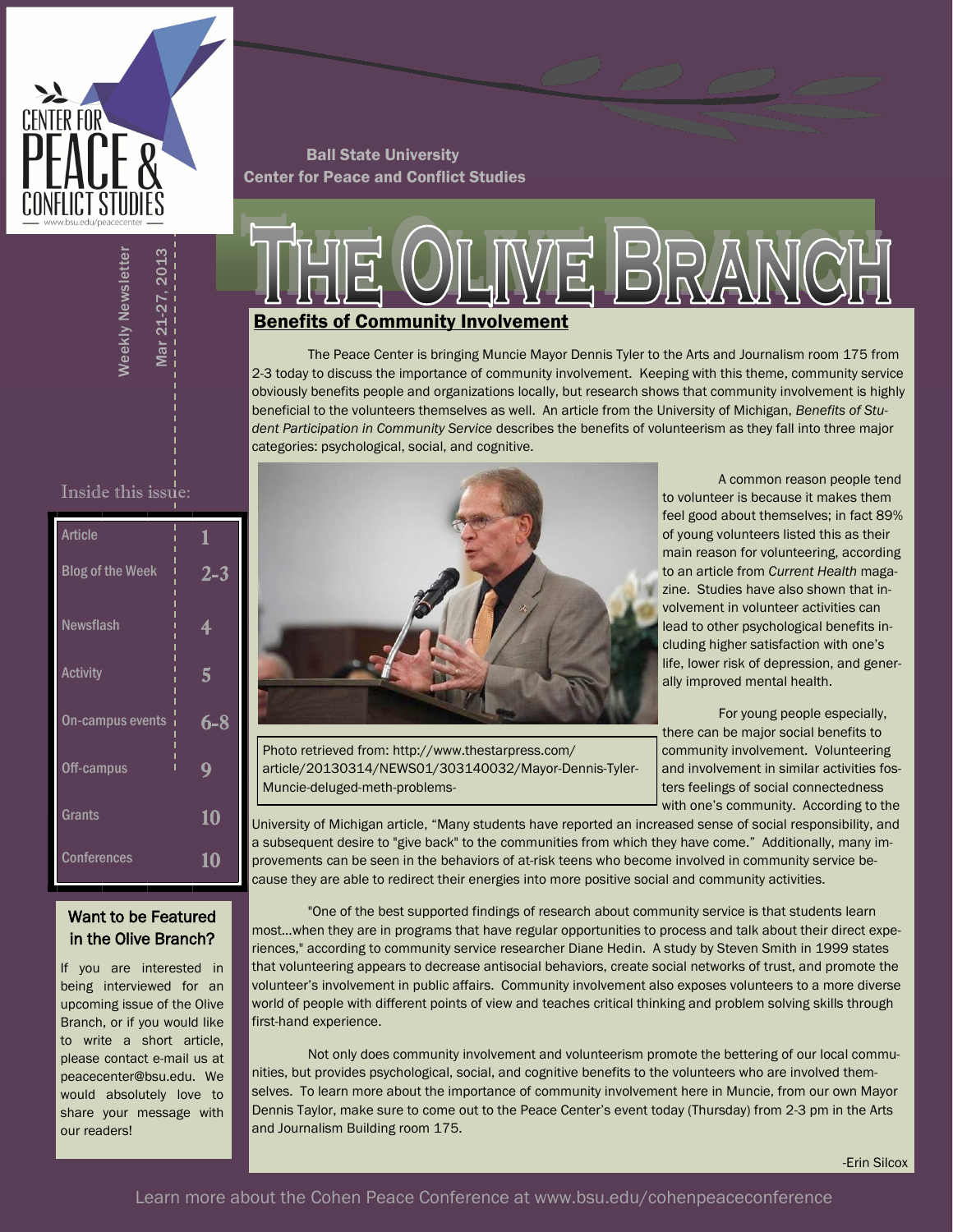

Ball State University Center for Peace and Conflict Studies

# **E BRANCH** Benefits of Community Involvement

The Peace Center is bringing Muncie Mayor Dennis Tyler to the Arts and Journalism room 175 from 2-3 today to discuss the importance of community involvement. Keeping with this theme, community service obviously benefits people and organizations locally, but research shows that community involvement is highly beneficial to the volunteers themselves as well. An article from the University of Michigan, *Benefits of Student Participation in Community Service* describes the benefits of volunteerism as they fall into three major categories: psychological, social, and cognitive.

Inside this issue:

Weekly Newsletter

**Neekly Newsletter** 

Mar 21-27, 2013

**Mar 21-27. 2013** 

| <b>Article</b>          | 1              |
|-------------------------|----------------|
| <b>Blog of the Week</b> | $2 - 3$        |
| <b>Newsflash</b>        | 4              |
| Activity                | $\overline{5}$ |
| On-campus events        | $6 - 8$        |
| Off-campus              | 9              |
| Grants                  | 10             |
| <b>Conferences</b>      | 10             |

#### Want to be Featured in the Olive Branch?

If you are interested in being interviewed for an upcoming issue of the Olive Branch, or if you would like to write a short article, please contact e-mail us at peacecenter@bsu.edu. We would absolutely love to share your message with our readers!



Photo retrieved from: http://www.thestarpress.com/ article/20130314/NEWS01/303140032/Mayor-Dennis-Tyler-Muncie-deluged-meth-problems-

A common reason people tend to volunteer is because it makes them feel good about themselves; in fact 89% of young volunteers listed this as their main reason for volunteering, according to an article from *Current Health* magazine. Studies have also shown that involvement in volunteer activities can lead to other psychological benefits including higher satisfaction with one's life, lower risk of depression, and generally improved mental health.

For young people especially, there can be major social benefits to community involvement. Volunteering and involvement in similar activities fosters feelings of social connectedness with one's community. According to the

University of Michigan article, "Many students have reported an increased sense of social responsibility, and a subsequent desire to "give back" to the communities from which they have come." Additionally, many improvements can be seen in the behaviors of at-risk teens who become involved in community service because they are able to redirect their energies into more positive social and community activities.

"One of the best supported findings of research about community service is that students learn most…when they are in programs that have regular opportunities to process and talk about their direct experiences," according to community service researcher Diane Hedin. A study by Steven Smith in 1999 states that volunteering appears to decrease antisocial behaviors, create social networks of trust, and promote the volunteer's involvement in public affairs. Community involvement also exposes volunteers to a more diverse world of people with different points of view and teaches critical thinking and problem solving skills through first-hand experience.

Not only does community involvement and volunteerism promote the bettering of our local communities, but provides psychological, social, and cognitive benefits to the volunteers who are involved themselves. To learn more about the importance of community involvement here in Muncie, from our own Mayor Dennis Taylor, make sure to come out to the Peace Center's event today (Thursday) from 2-3 pm in the Arts and Journalism Building room 175.

-Erin Silcox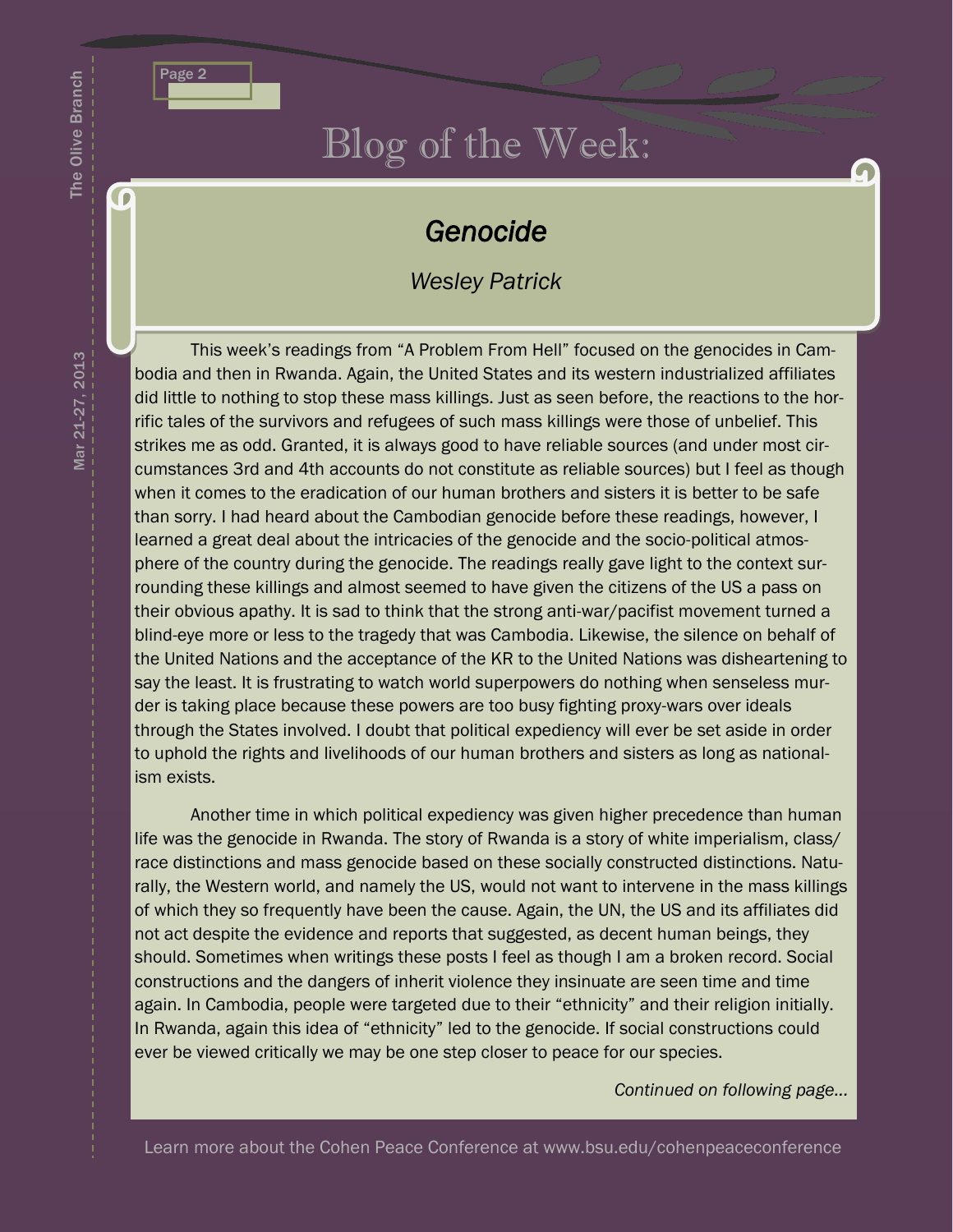

## Blog of the Week:

### *Genocide*

#### *Wesley Patrick*

This week's readings from "A Problem From Hell" focused on the genocides in Cambodia and then in Rwanda. Again, the United States and its western industrialized affiliates did little to nothing to stop these mass killings. Just as seen before, the reactions to the horrific tales of the survivors and refugees of such mass killings were those of unbelief. This strikes me as odd. Granted, it is always good to have reliable sources (and under most circumstances 3rd and 4th accounts do not constitute as reliable sources) but I feel as though when it comes to the eradication of our human brothers and sisters it is better to be safe than sorry. I had heard about the Cambodian genocide before these readings, however, I learned a great deal about the intricacies of the genocide and the socio-political atmosphere of the country during the genocide. The readings really gave light to the context surrounding these killings and almost seemed to have given the citizens of the US a pass on their obvious apathy. It is sad to think that the strong anti-war/pacifist movement turned a blind-eye more or less to the tragedy that was Cambodia. Likewise, the silence on behalf of the United Nations and the acceptance of the KR to the United Nations was disheartening to say the least. It is frustrating to watch world superpowers do nothing when senseless murder is taking place because these powers are too busy fighting proxy-wars over ideals through the States involved. I doubt that political expediency will ever be set aside in order to uphold the rights and livelihoods of our human brothers and sisters as long as nationalism exists.

Another time in which political expediency was given higher precedence than human life was the genocide in Rwanda. The story of Rwanda is a story of white imperialism, class/ race distinctions and mass genocide based on these socially constructed distinctions. Naturally, the Western world, and namely the US, would not want to intervene in the mass killings of which they so frequently have been the cause. Again, the UN, the US and its affiliates did not act despite the evidence and reports that suggested, as decent human beings, they should. Sometimes when writings these posts I feel as though I am a broken record. Social constructions and the dangers of inherit violence they insinuate are seen time and time again. In Cambodia, people were targeted due to their "ethnicity" and their religion initially. In Rwanda, again this idea of "ethnicity" led to the genocide. If social constructions could ever be viewed critically we may be one step closer to peace for our species.

*Continued on following page...*

The Olive Branch

**G** 

The Olive Branch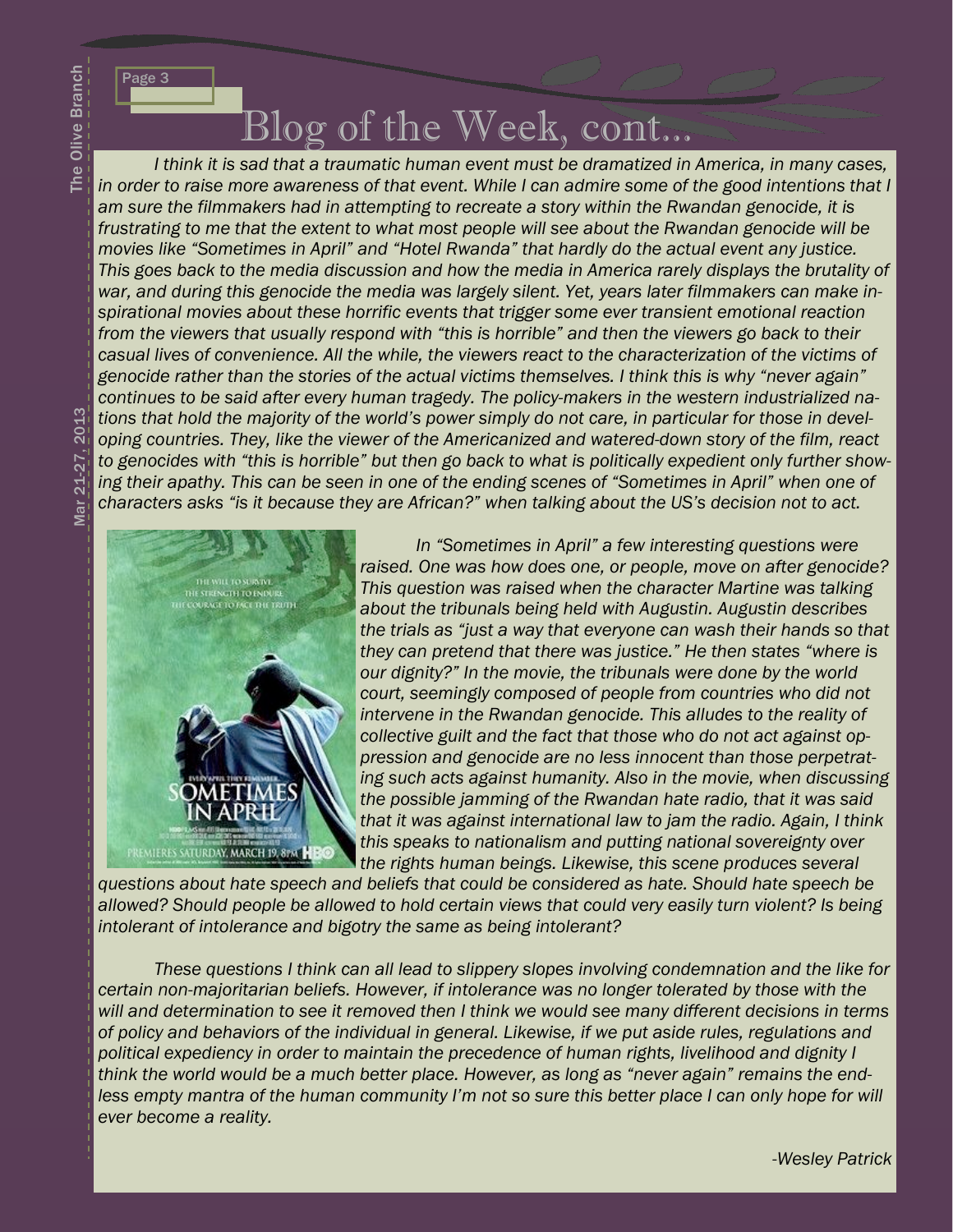Page 3

# Blog of the Week, cont...

*I think it is sad that a traumatic human event must be dramatized in America, in many cases,*  in order to raise more awareness of that event. While I can admire some of the good intentions that I am sure the filmmakers had in attempting to recreate a story within the Rwandan genocide, it is *frustrating to me that the extent to what most people will see about the Rwandan genocide will be movies like "Sometimes in April" and "Hotel Rwanda" that hardly do the actual event any justice. This goes back to the media discussion and how the media in America rarely displays the brutality of war, and during this genocide the media was largely silent. Yet, years later filmmakers can make inspirational movies about these horrific events that trigger some ever transient emotional reaction from the viewers that usually respond with "this is horrible" and then the viewers go back to their casual lives of convenience. All the while, the viewers react to the characterization of the victims of genocide rather than the stories of the actual victims themselves. I think this is why "never again" continues to be said after every human tragedy. The policy-makers in the western industrialized nations that hold the majority of the world's power simply do not care, in particular for those in developing countries. They, like the viewer of the Americanized and watered-down story of the film, react to genocides with "this is horrible" but then go back to what is politically expedient only further showing their apathy. This can be seen in one of the ending scenes of "Sometimes in April" when one of characters asks "is it because they are African?" when talking about the US's decision not to act.*



*In "Sometimes in April" a few interesting questions were raised. One was how does one, or people, move on after genocide? This question was raised when the character Martine was talking about the tribunals being held with Augustin. Augustin describes the trials as "just a way that everyone can wash their hands so that they can pretend that there was justice." He then states "where is our dignity?" In the movie, the tribunals were done by the world court, seemingly composed of people from countries who did not intervene in the Rwandan genocide. This alludes to the reality of collective guilt and the fact that those who do not act against oppression and genocide are no less innocent than those perpetrating such acts against humanity. Also in the movie, when discussing the possible jamming of the Rwandan hate radio, that it was said that it was against international law to jam the radio. Again, I think this speaks to nationalism and putting national sovereignty over the rights human beings. Likewise, this scene produces several* 

*questions about hate speech and beliefs that could be considered as hate. Should hate speech be allowed? Should people be allowed to hold certain views that could very easily turn violent? Is being intolerant of intolerance and bigotry the same as being intolerant?*

*These questions I think can all lead to slippery slopes involving condemnation and the like for certain non-majoritarian beliefs. However, if intolerance was no longer tolerated by those with the will and determination to see it removed then I think we would see many different decisions in terms of policy and behaviors of the individual in general. Likewise, if we put aside rules, regulations and political expediency in order to maintain the precedence of human rights, livelihood and dignity I think the world would be a much better place. However, as long as "never again" remains the endless empty mantra of the human community I'm not so sure this better place I can only hope for will ever become a reality.*

2013 Mar 21-27, 2013Mar 21-27.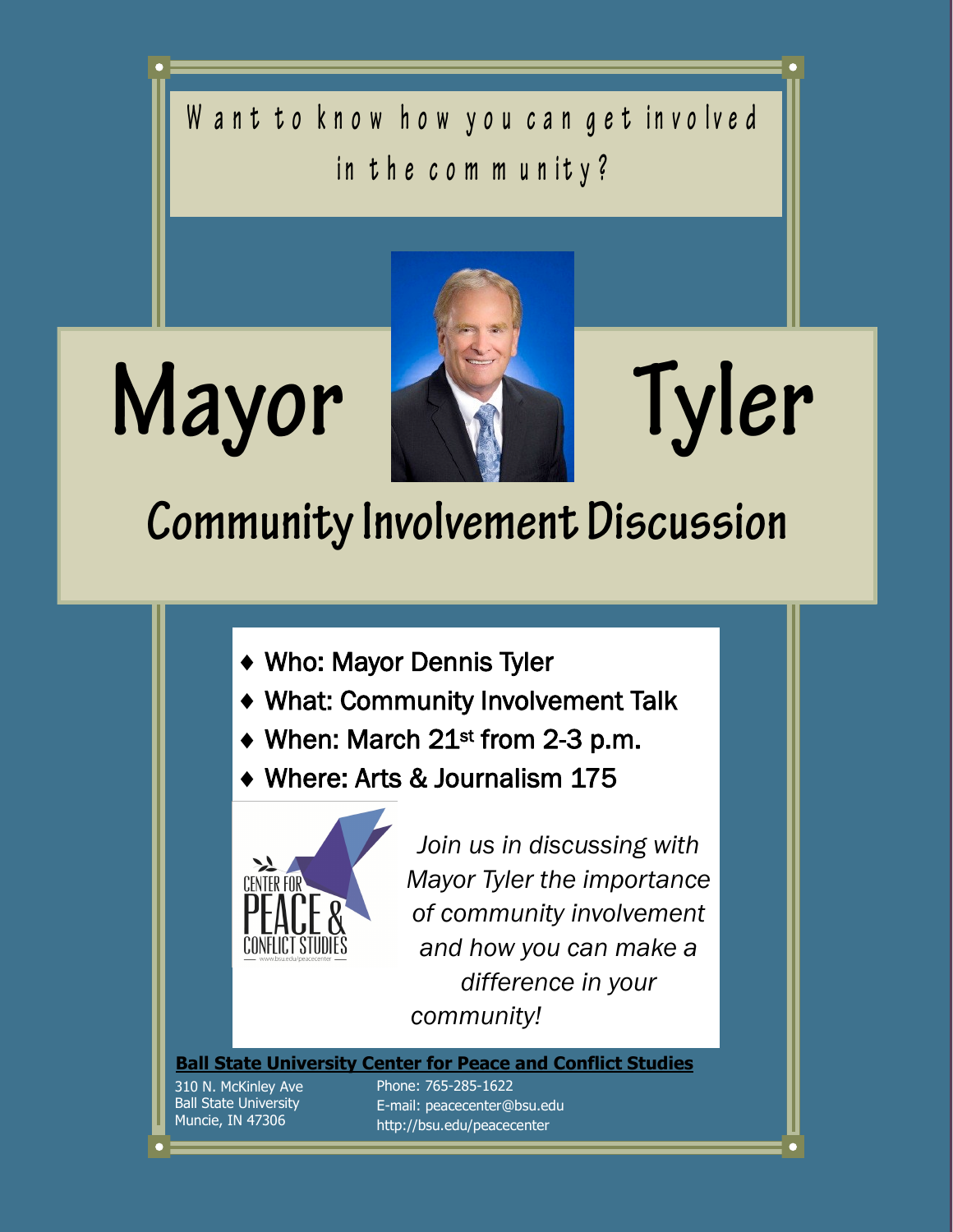Want to know how you can get involved in the community?



# Tyler

# **Community Involvement Discussion**

- Who: Mayor Dennis Tyler
- What: Community Involvement Talk
- ◆ When: March 21<sup>st</sup> from 2-3 p.m.
- Where: Arts & Journalism 175



*Join us in discussing with Mayor Tyler the importance of community involvement and how you can make a difference in your community!* 

**Ball State University Center for Peace and Conflict Studies**

310 N. McKinley Ave **Ball State University** Muncie, IN 47306

Page 4

Mayor

Phone: 765-285-1622 Email: peacecenter@bsu.edu http://bsu.edu/peacecenter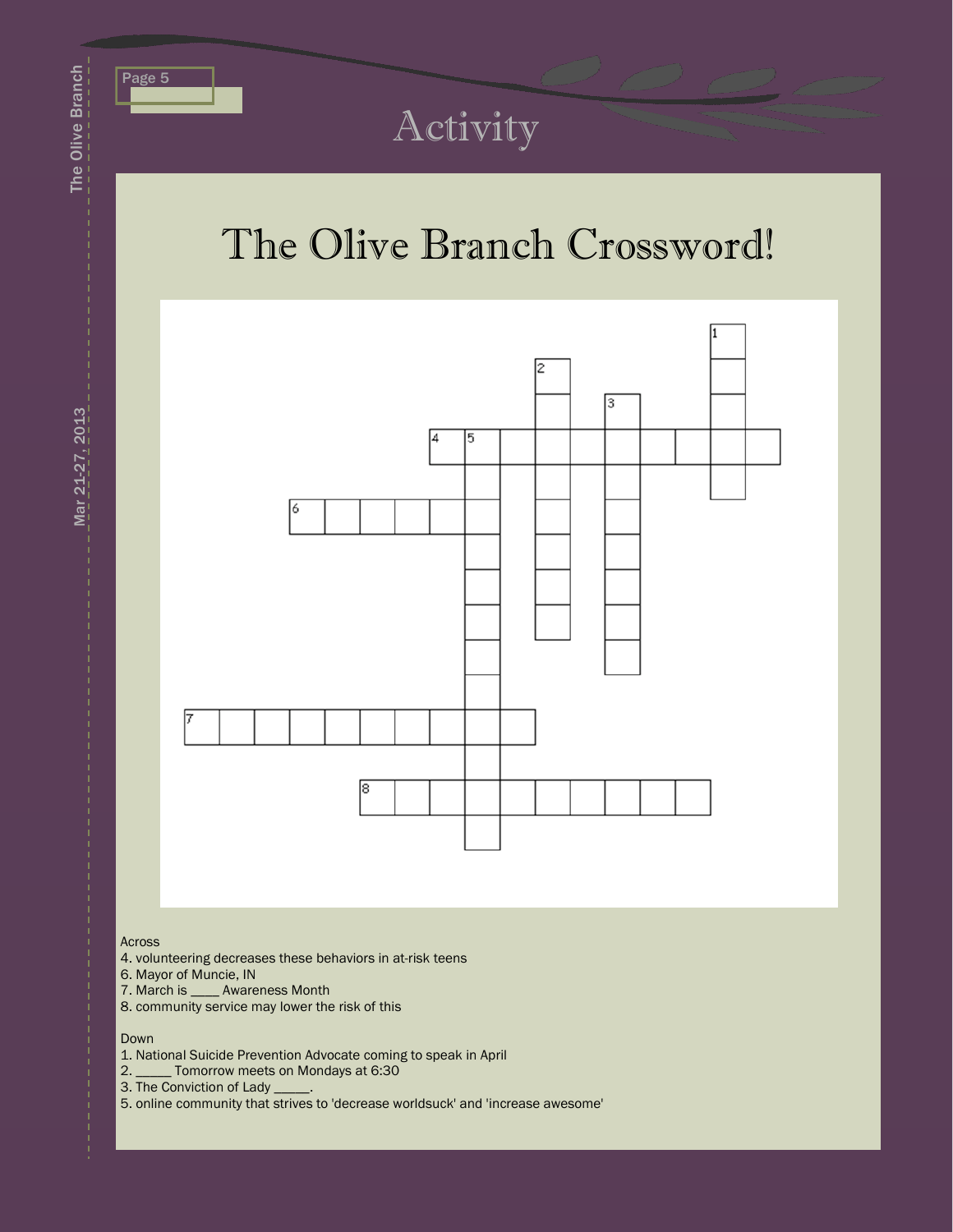

# Activity

# The Olive Branch Crossword!



#### Across

- 4. volunteering decreases these behaviors in at-risk teens
- 6. Mayor of Muncie, IN
- 7. March is \_\_\_\_ Awareness Month
- 8. community service may lower the risk of this

#### Down

- 1. National Suicide Prevention Advocate coming to speak in April
- 2. \_\_\_\_\_ Tomorrow meets on Mondays at 6:30
- 3. The Conviction of Lady \_\_\_\_\_.
- 5. online community that strives to 'decrease worldsuck' and 'increase awesome'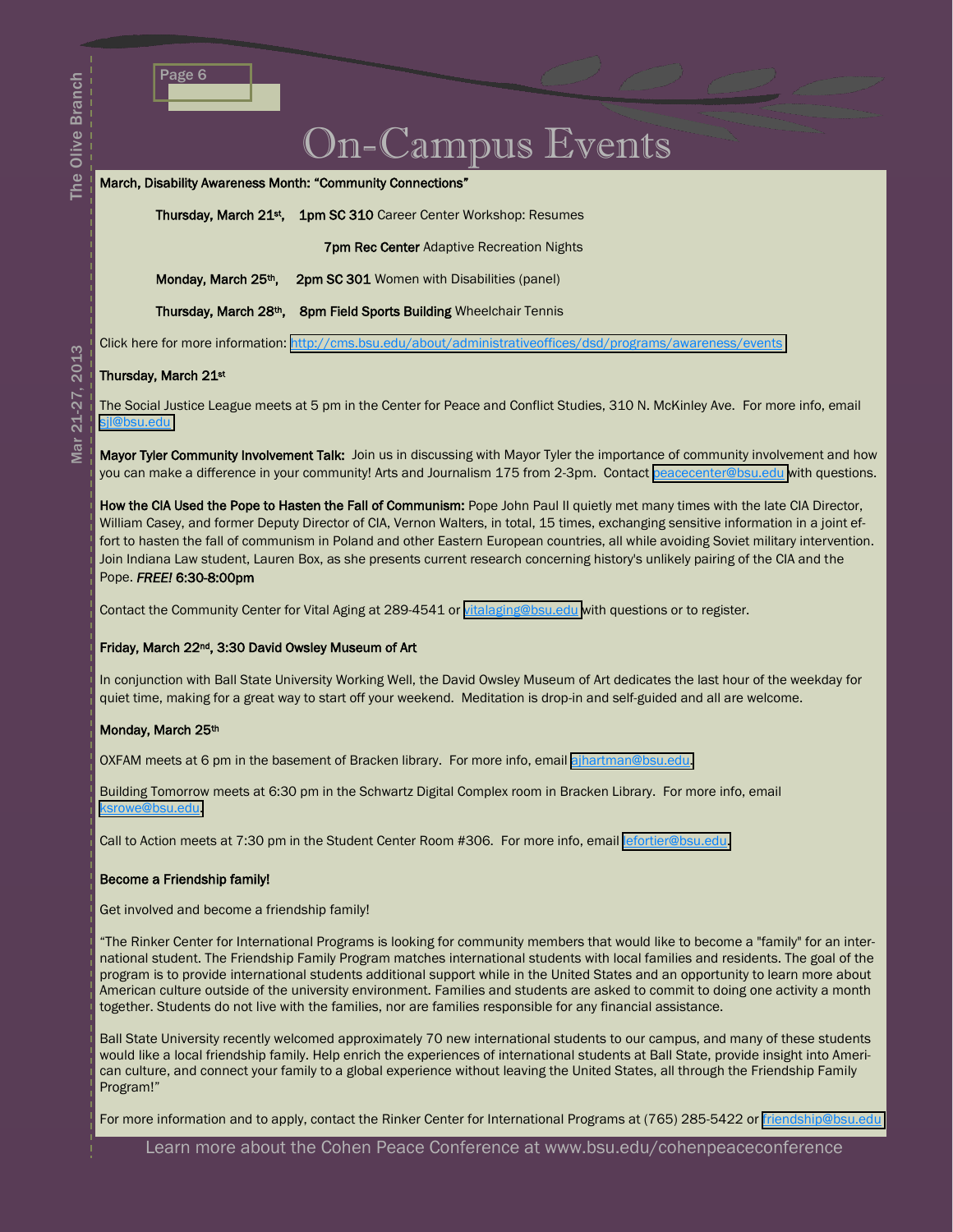### On-Campus Events

#### March, Disability Awareness Month: "Community Connections"

Thursday, March 21st, 1pm SC 310 Career Center Workshop: Resumes

**7pm Rec Center Adaptive Recreation Nights** 

Monday, March 25<sup>th</sup>, 2pm SC 301 Women with Disabilities (panel)

Thursday, March 28th, 8pm Field Sports Building Wheelchair Tennis

Click here for more information: <http://cms.bsu.edu/about/administrativeoffices/dsd/programs/awareness/events>

#### Thursday, March 21st

The Social Justice League meets at 5 pm in the Center for Peace and Conflict Studies, 310 N. McKinley Ave. For more info, email [sjl@bsu.edu](mailto:sjl@bsu.edu) 

Mayor Tyler Community Involvement Talk: Join us in discussing with Mayor Tyler the importance of community involvement and how you can make a difference in your community! Arts and Journalism 175 from 2-3pm. Contact [peacecenter@bsu.edu](mailto:peacecenter@bsu.edu) with questions.

How the CIA Used the Pope to Hasten the Fall of Communism: Pope John Paul II quietly met many times with the late CIA Director, William Casey, and former Deputy Director of CIA, Vernon Walters, in total, 15 times, exchanging sensitive information in a joint effort to hasten the fall of communism in Poland and other Eastern European countries, all while avoiding Soviet military intervention. Join Indiana Law student, Lauren Box, as she presents current research concerning history's unlikely pairing of the CIA and the Pope. *FREE!* 6:30-8:00pm

Contact the Community Center for Vital Aging at 289-4541 or [vitalaging@bsu.edu](mailto:vitalaging@bsu.edu) with questions or to register.

#### Friday, March 22nd, 3:30 David Owsley Museum of Art

In conjunction with Ball State University Working Well, the David Owsley Museum of Art dedicates the last hour of the weekday for quiet time, making for a great way to start off your weekend. Meditation is drop-in and self-guided and all are welcome.

#### Monday, March 25th

OXFAM meets at 6 pm in the basement of Bracken library. For more info, email [ajhartman@bsu.edu.](mailto:ajhartman@bsu.edu)

Building Tomorrow meets at 6:30 pm in the Schwartz Digital Complex room in Bracken Library. For more info, email [ksrowe@bsu.edu.](mailto:ksrowe@bsu.edu)

Call to Action meets at 7:30 pm in the Student Center Room #306. For more info, email [lefortier@bsu.edu.](mailto:lefortier@bsu.edu)

#### Become a Friendship family!

Get involved and become a friendship family!

"The Rinker Center for International Programs is looking for community members that would like to become a "family" for an international student. The Friendship Family Program matches international students with local families and residents. The goal of the program is to provide international students additional support while in the United States and an opportunity to learn more about American culture outside of the university environment. Families and students are asked to commit to doing one activity a month together. Students do not live with the families, nor are families responsible for any financial assistance.

Ball State University recently welcomed approximately 70 new international students to our campus, and many of these students would like a local friendship family. Help enrich the experiences of international students at Ball State, provide insight into American culture, and connect your family to a global experience without leaving the United States, all through the Friendship Family Program!"

For more information and to apply, contact the Rinker Center for International Programs at (765) 285-5422 or [friendship@bsu.edu](mailto:friendship@bsu.edu)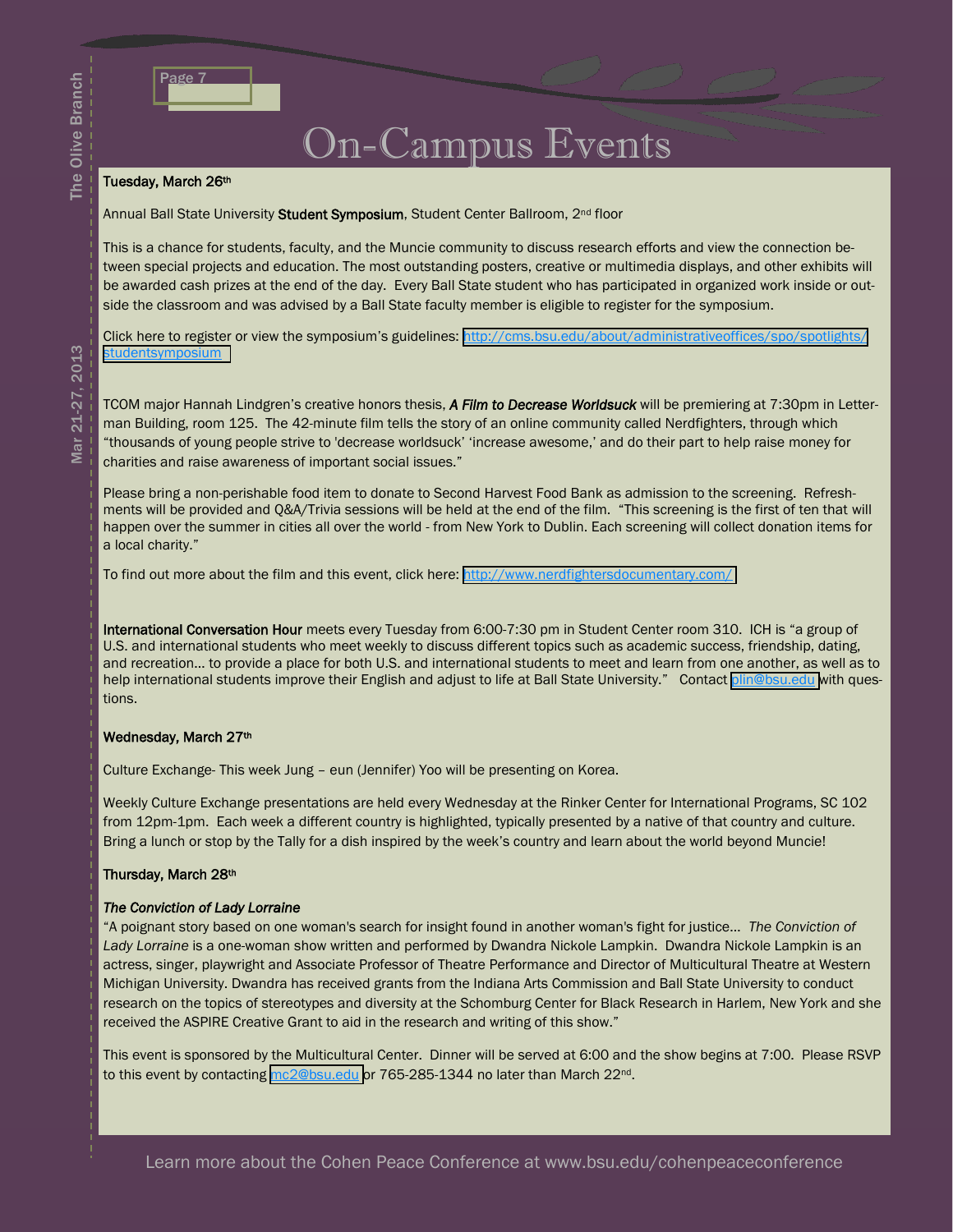## On-Campus Events

#### Tuesday, March 26th

Annual Ball State University Student Symposium, Student Center Ballroom, 2<sup>nd</sup> floor

This is a chance for students, faculty, and the Muncie community to discuss research efforts and view the connection between special projects and education. The most outstanding posters, creative or multimedia displays, and other exhibits will be awarded cash prizes at the end of the day. Every Ball State student who has participated in organized work inside or outside the classroom and was advised by a Ball State faculty member is eligible to register for the symposium.

Click here to register or view the symposium's guidelines: [http://cms.bsu.edu/about/administrativeoffices/spo/spotlights/](http://cms.bsu.edu/about/administrativeoffices/spo/spotlights/studentsymposium) **[studentsymposium](http://cms.bsu.edu/about/administrativeoffices/spo/spotlights/studentsymposium)** 

TCOM major Hannah Lindgren's creative honors thesis, *A Film to Decrease Worldsuck* will be premiering at 7:30pm in Letterman Building, room 125. The 42-minute film tells the story of an online community called Nerdfighters, through which "thousands of young people strive to 'decrease worldsuck' 'increase awesome,' and do their part to help raise money for charities and raise awareness of important social issues."

Please bring a non-perishable food item to donate to Second Harvest Food Bank as admission to the screening. Refreshments will be provided and Q&A/Trivia sessions will be held at the end of the film. "This screening is the first of ten that will happen over the summer in cities all over the world - from New York to Dublin. Each screening will collect donation items for a local charity."

To find out more about the film and this event, click here: <http://www.nerdfightersdocumentary.com/>

International Conversation Hour meets every Tuesday from 6:00-7:30 pm in Student Center room 310. ICH is "a group of U.S. and international students who meet weekly to discuss different topics such as academic success, friendship, dating, and recreation… to provide a place for both U.S. and international students to meet and learn from one another, as well as to help international students improve their English and adjust to life at Ball State University." Contact [plin@bsu.edu](mailto:plin@bsu.edu) with questions.

#### Wednesday, March 27th

Culture Exchange- This week Jung – eun (Jennifer) Yoo will be presenting on Korea.

Weekly Culture Exchange presentations are held every Wednesday at the Rinker Center for International Programs, SC 102 from 12pm-1pm. Each week a different country is highlighted, typically presented by a native of that country and culture. Bring a lunch or stop by the Tally for a dish inspired by the week's country and learn about the world beyond Muncie!

#### Thursday, March 28th

#### *The Conviction of Lady Lorraine*

"A poignant story based on one woman's search for insight found in another woman's fight for justice… *The Conviction of Lady Lorraine* is a one-woman show written and performed by Dwandra Nickole Lampkin. Dwandra Nickole Lampkin is an actress, singer, playwright and Associate Professor of Theatre Performance and Director of Multicultural Theatre at Western Michigan University. Dwandra has received grants from the Indiana Arts Commission and Ball State University to conduct research on the topics of stereotypes and diversity at the Schomburg Center for Black Research in Harlem, New York and she received the ASPIRE Creative Grant to aid in the research and writing of this show."

This event is sponsored by the Multicultural Center. Dinner will be served at 6:00 and the show begins at 7:00. Please RSVP to this event by contacting [mc2@bsu.edu](mailto:mc2@bsu.edu) or 765-285-1344 no later than March 22<sup>nd</sup>.

The Olive Branch

The Olive Branch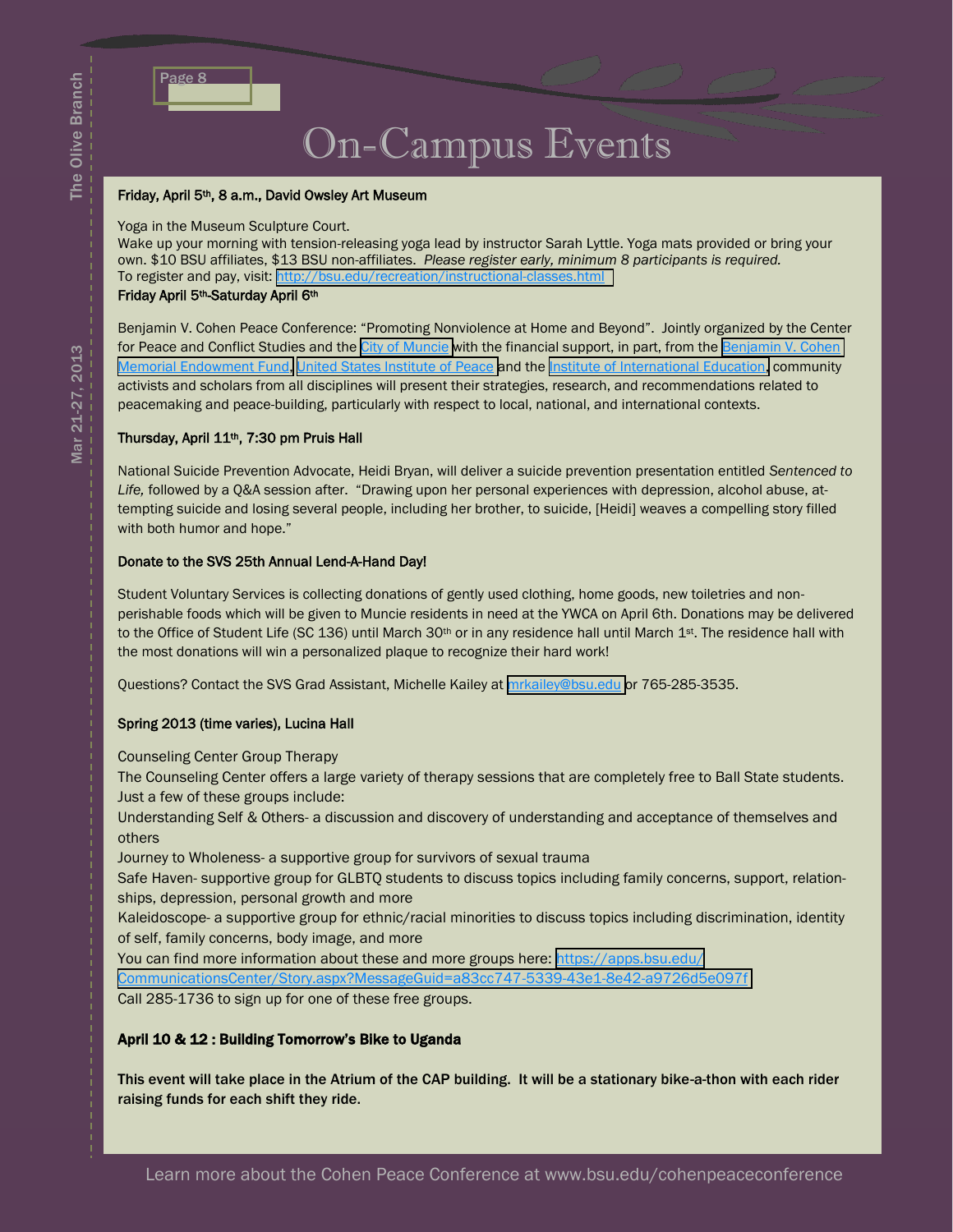| в, |  |  |
|----|--|--|
|    |  |  |

# On-Campus Events

#### Friday, April 5th, 8 a.m., David Owsley Art Museum

Yoga in the Museum Sculpture Court.

Wake up your morning with tension-releasing yoga lead by instructor Sarah Lyttle. Yoga mats provided or bring your own. \$10 BSU affiliates, \$13 BSU non-affiliates. *Please register early, minimum 8 participants is required.* To register and pay, visit: [http://bsu.edu/recreation/instructional-classes.html](https://by2prd0511.outlook.com/owa/redir.aspx?C=qYm6MiTJJUGxRYcpFuRDzyDK-UoZ3M8IrcDbZDyC-zFrif_IjsFSFhxPZhYFA1_-qJA_UwLQRs0.&URL=http%3a%2f%2fbsu.edu%2frecreation%2finstructional-classes.html)

#### Friday April 5th-Saturday April 6th

Benjamin V. Cohen Peace Conference: "Promoting Nonviolence at Home and Beyond". Jointly organized by the Center for Peace and Conflict Studies and the [City of Muncie](http://cityofmuncie.com/) with the financial support, in part, from the Benjamin V. Cohen [Memorial Endowment Fund,](http://cms.bsu.edu/academics/centersandinstitutes/peace/academicopps/cohenpeacefellowship) [United States Institute of Peace](http://www.usip.org/) and the [Institute of International Education,](http://www.iie.org/) community activists and scholars from all disciplines will present their strategies, research, and recommendations related to peacemaking and peace-building, particularly with respect to local, national, and international contexts.

#### Thursday, April 11th, 7:30 pm Pruis Hall

National Suicide Prevention Advocate, Heidi Bryan, will deliver a suicide prevention presentation entitled *Sentenced to Life,* followed by a Q&A session after. "Drawing upon her personal experiences with depression, alcohol abuse, attempting suicide and losing several people, including her brother, to suicide, [Heidi] weaves a compelling story filled with both humor and hope."

#### Donate to the SVS 25th Annual Lend-A-Hand Day!

Student Voluntary Services is collecting donations of gently used clothing, home goods, new toiletries and nonperishable foods which will be given to Muncie residents in need at the YWCA on April 6th. Donations may be delivered to the Office of Student Life (SC 136) until March 30<sup>th</sup> or in any residence hall until March 1<sup>st</sup>. The residence hall with the most donations will win a personalized plaque to recognize their hard work!

Questions? Contact the SVS Grad Assistant, Michelle Kailey at [mrkailey@bsu.edu](mailto:mrkailey@bsu.edu) or 765-285-3535.

#### Spring 2013 (time varies), Lucina Hall

Counseling Center Group Therapy

The Counseling Center offers a large variety of therapy sessions that are completely free to Ball State students. Just a few of these groups include:

Understanding Self & Others- a discussion and discovery of understanding and acceptance of themselves and others

Journey to Wholeness- a supportive group for survivors of sexual trauma

Safe Haven- supportive group for GLBTQ students to discuss topics including family concerns, support, relationships, depression, personal growth and more

Kaleidoscope- a supportive group for ethnic/racial minorities to discuss topics including discrimination, identity of self, family concerns, body image, and more

You can find more information about these and more groups here: [https://apps.bsu.edu/](https://apps.bsu.edu/CommunicationsCenter/Story.aspx?MessageGuid=a83cc747-5339-43e1-8e42-a9726d5e097f)

[CommunicationsCenter/Story.aspx?MessageGuid=a83cc747-5339-43e1-8e42-a9726d5e097f](https://apps.bsu.edu/CommunicationsCenter/Story.aspx?MessageGuid=a83cc747-5339-43e1-8e42-a9726d5e097f)

Call 285-1736 to sign up for one of these free groups.

#### April 10 & 12 : Building Tomorrow's Bike to Uganda

This event will take place in the Atrium of the CAP building. It will be a stationary bike-a-thon with each rider raising funds for each shift they ride.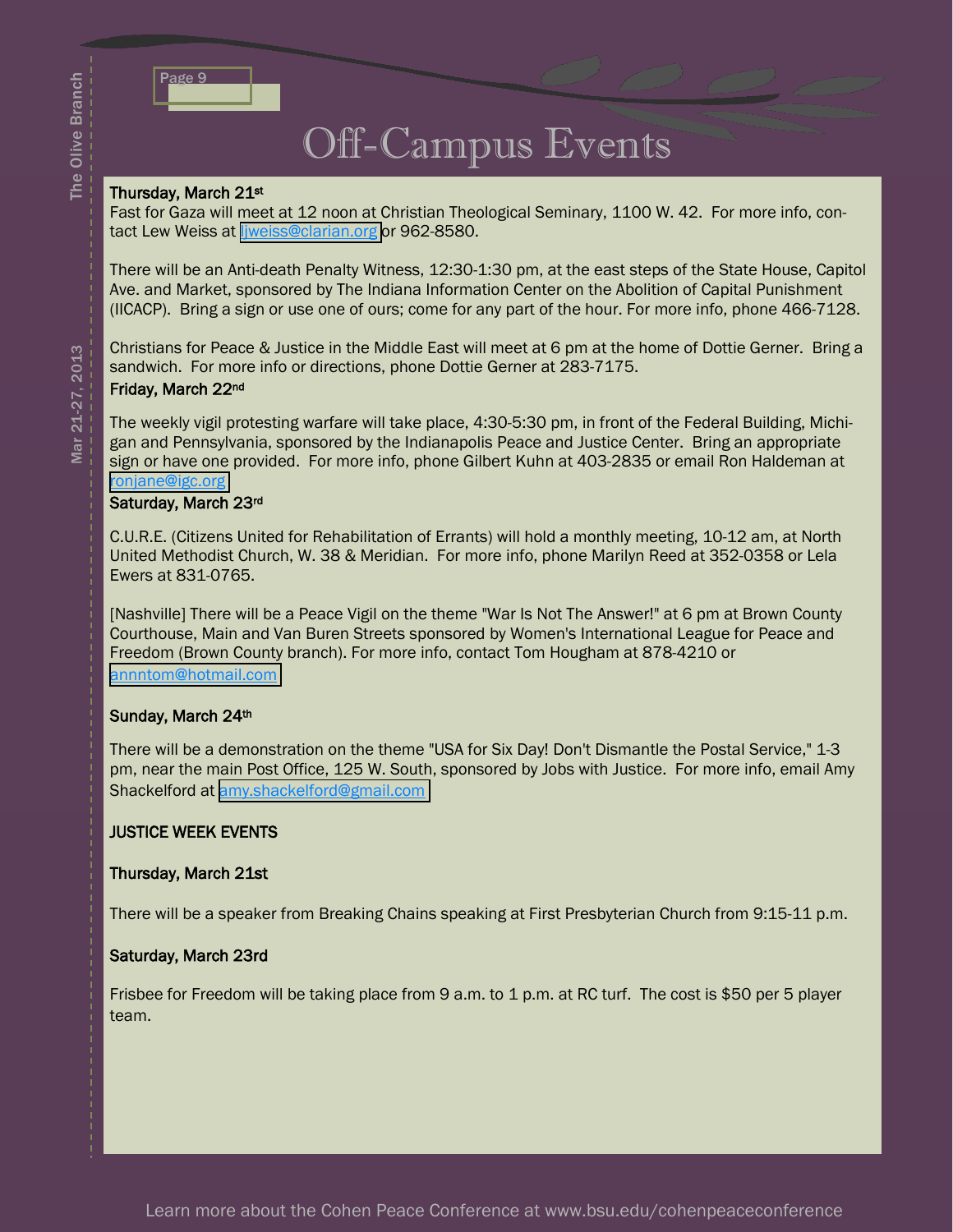

# Off-Campus Events

#### Thursday, March 21st

Fast for Gaza will meet at 12 noon at Christian Theological Seminary, 1100 W. 42. For more info, contact Lew Weiss at liweiss@clarian.org or 962-8580.

There will be an Anti-death Penalty Witness, 12:30-1:30 pm, at the east steps of the State House, Capitol Ave. and Market, sponsored by The Indiana Information Center on the Abolition of Capital Punishment (IICACP). Bring a sign or use one of ours; come for any part of the hour. For more info, phone 466-7128.

Christians for Peace & Justice in the Middle East will meet at 6 pm at the home of Dottie Gerner. Bring a sandwich. For more info or directions, phone Dottie Gerner at 283-7175. Friday, March 22nd

The weekly vigil protesting warfare will take place, 4:30-5:30 pm, in front of the Federal Building, Michigan and Pennsylvania, sponsored by the Indianapolis Peace and Justice Center. Bring an appropriate sign or have one provided. For more info, phone Gilbert Kuhn at 403-2835 or email Ron Haldeman at [ronjane@igc.org](mailto:ronjane@igc.org)

#### Saturday, March 23rd

C.U.R.E. (Citizens United for Rehabilitation of Errants) will hold a monthly meeting, 10-12 am, at North United Methodist Church, W. 38 & Meridian. For more info, phone Marilyn Reed at 352-0358 or Lela Ewers at 831-0765.

[Nashville] There will be a Peace Vigil on the theme "War Is Not The Answer!" at 6 pm at Brown County Courthouse, Main and Van Buren Streets sponsored by Women's International League for Peace and Freedom (Brown County branch). For more info, contact Tom Hougham at 878-4210 or [annntom@hotmail.com](mailto:annntom@hotmail.com)

#### Sunday, March 24th

There will be a demonstration on the theme "USA for Six Day! Don't Dismantle the Postal Service," 1-3 pm, near the main Post Office, 125 W. South, sponsored by Jobs with Justice. For more info, email Amy Shackelford at [amy.shackelford@gmail.com](mailto:amy.shackelford@gmail.com)

#### JUSTICE WEEK EVENTS

#### Thursday, March 21st

There will be a speaker from Breaking Chains speaking at First Presbyterian Church from 9:15-11 p.m.

#### Saturday, March 23rd

Frisbee for Freedom will be taking place from 9 a.m. to 1 p.m. at RC turf. The cost is \$50 per 5 player team.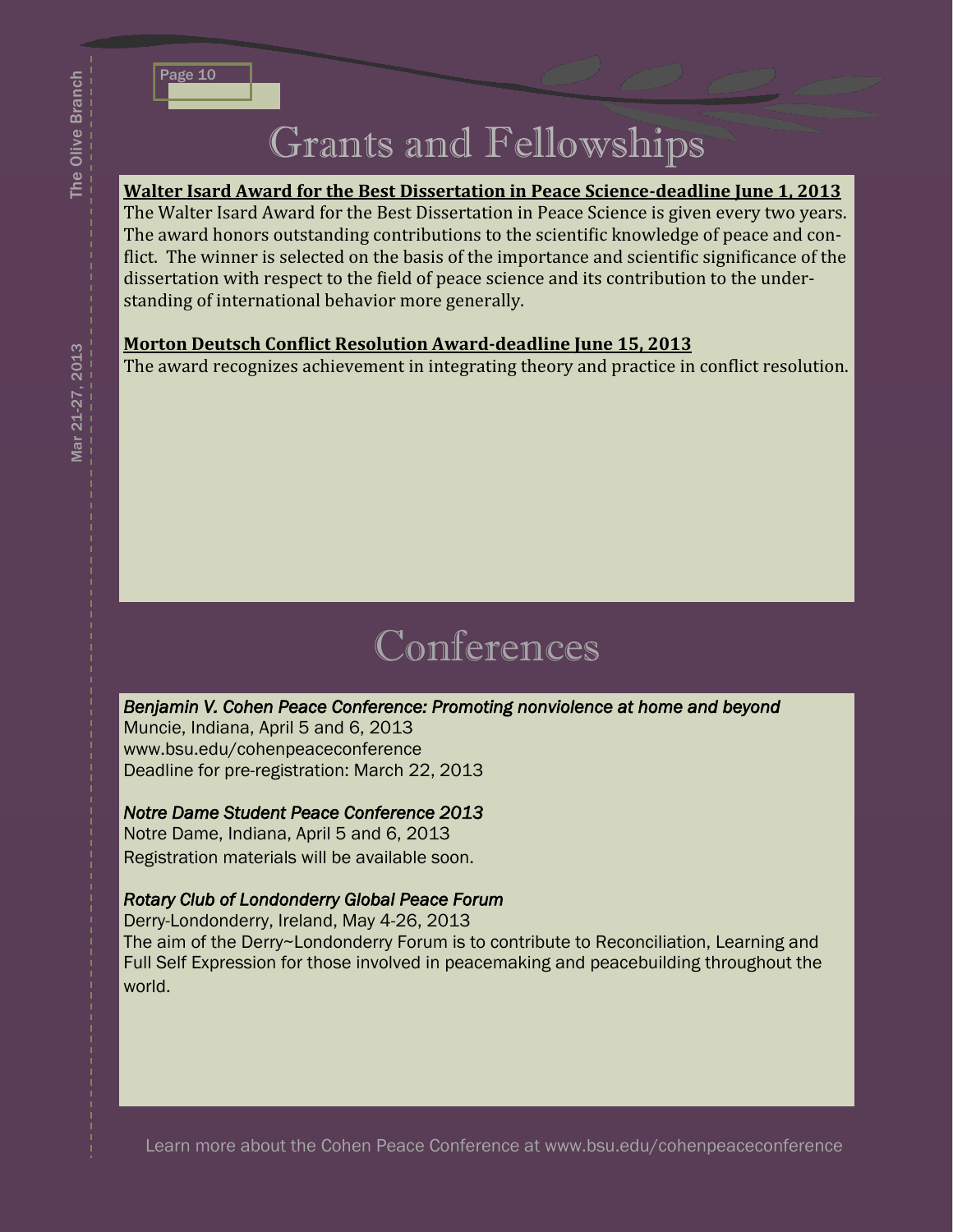# Grants and Fellowships

#### **Walter Isard Award for the Best Dissertation in Peace Science‐deadline June 1, 2013**

The Walter Isard Award for the Best Dissertation in Peace Science is given every two years. The award honors outstanding contributions to the scientific knowledge of peace and conflict. The winner is selected on the basis of the importance and scientific significance of the dissertation with respect to the field of peace science and its contribution to the understanding of international behavior more generally.

#### **Morton Deutsch Conflict Resolution Award-deadline June 15, 2013**

The award recognizes achievement in integrating theory and practice in conflict resolution.

# **Conferences**

#### *Benjamin V. Cohen Peace Conference: Promoting nonviolence at home and beyond*

Muncie, Indiana, April 5 and 6, 2013 www.bsu.edu/cohenpeaceconference Deadline for pre-registration: March 22, 2013

#### *Notre Dame Student Peace Conference 2013*

Notre Dame, Indiana, April 5 and 6, 2013 Registration materials will be available soon.

#### *Rotary Club of Londonderry Global Peace Forum*

Derry-Londonderry, Ireland, May 4-26, 2013 The aim of the Derry~Londonderry Forum is to contribute to Reconciliation, Learning and Full Self Expression for those involved in peacemaking and peacebuilding throughout the world.

The Olive Branch

The Olive Branch